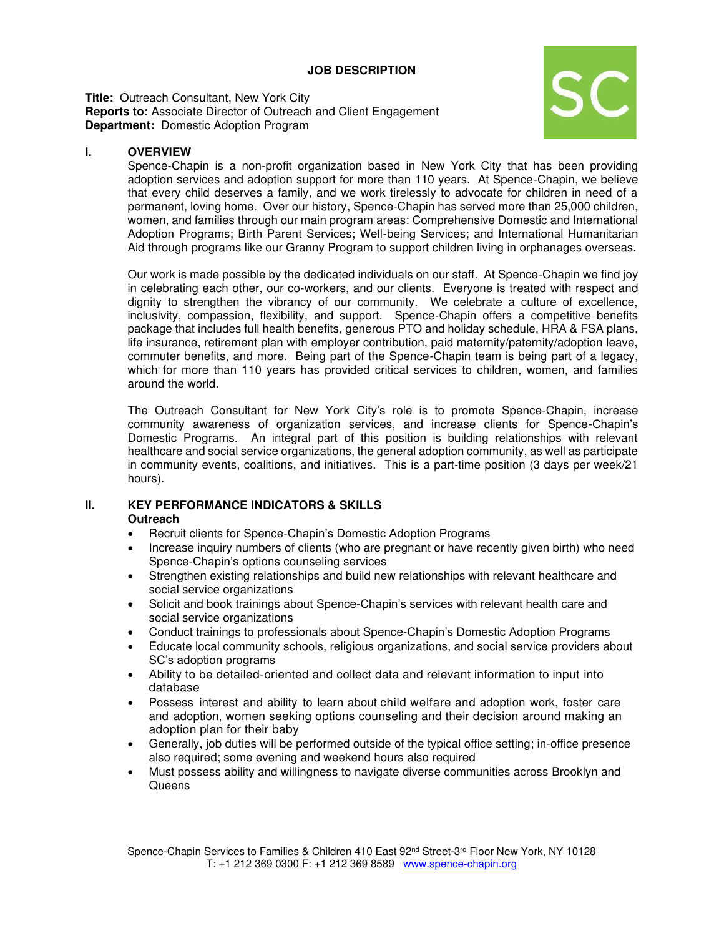# **JOB DESCRIPTION**

**Title:** Outreach Consultant, New York City **Reports to:** Associate Director of Outreach and Client Engagement **Department:** Domestic Adoption Program



# **I. OVERVIEW**

Spence-Chapin is a non-profit organization based in New York City that has been providing adoption services and adoption support for more than 110 years. At Spence-Chapin, we believe that every child deserves a family, and we work tirelessly to advocate for children in need of a permanent, loving home. Over our history, Spence-Chapin has served more than 25,000 children, women, and families through our main program areas: Comprehensive Domestic and International Adoption Programs; Birth Parent Services; Well-being Services; and International Humanitarian Aid through programs like our Granny Program to support children living in orphanages overseas.

Our work is made possible by the dedicated individuals on our staff. At Spence-Chapin we find joy in celebrating each other, our co-workers, and our clients. Everyone is treated with respect and dignity to strengthen the vibrancy of our community. We celebrate a culture of excellence, inclusivity, compassion, flexibility, and support. Spence-Chapin offers a competitive benefits package that includes full health benefits, generous PTO and holiday schedule, HRA & FSA plans, life insurance, retirement plan with employer contribution, paid maternity/paternity/adoption leave, commuter benefits, and more. Being part of the Spence-Chapin team is being part of a legacy, which for more than 110 years has provided critical services to children, women, and families around the world.

The Outreach Consultant for New York City's role is to promote Spence-Chapin, increase community awareness of organization services, and increase clients for Spence-Chapin's Domestic Programs. An integral part of this position is building relationships with relevant healthcare and social service organizations, the general adoption community, as well as participate in community events, coalitions, and initiatives. This is a part-time position (3 days per week/21 hours).

#### **II. KEY PERFORMANCE INDICATORS & SKILLS Outreach**

- Recruit clients for Spence-Chapin's Domestic Adoption Programs
- Increase inquiry numbers of clients (who are pregnant or have recently given birth) who need Spence-Chapin's options counseling services
- Strengthen existing relationships and build new relationships with relevant healthcare and social service organizations
- Solicit and book trainings about Spence-Chapin's services with relevant health care and social service organizations
- Conduct trainings to professionals about Spence-Chapin's Domestic Adoption Programs
- Educate local community schools, religious organizations, and social service providers about SC's adoption programs
- Ability to be detailed-oriented and collect data and relevant information to input into database
- Possess interest and ability to learn about child welfare and adoption work, foster care and adoption, women seeking options counseling and their decision around making an adoption plan for their baby
- Generally, job duties will be performed outside of the typical office setting; in-office presence also required; some evening and weekend hours also required
- Must possess ability and willingness to navigate diverse communities across Brooklyn and **Queens**